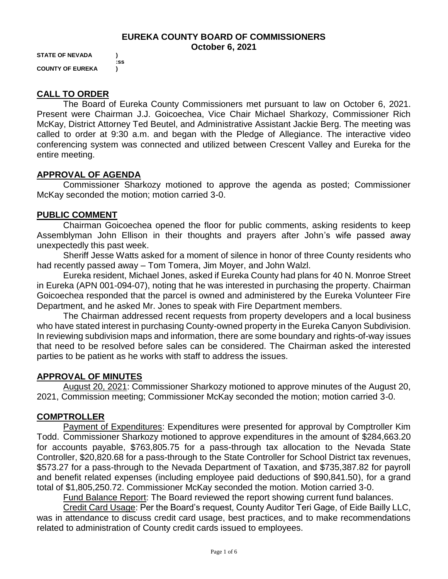#### **EUREKA COUNTY BOARD OF COMMISSIONERS October 6, 2021**

**STATE OF NEVADA ) :ss COUNTY OF EUREKA )**

# **CALL TO ORDER**

The Board of Eureka County Commissioners met pursuant to law on October 6, 2021. Present were Chairman J.J. Goicoechea, Vice Chair Michael Sharkozy, Commissioner Rich McKay, District Attorney Ted Beutel, and Administrative Assistant Jackie Berg. The meeting was called to order at 9:30 a.m. and began with the Pledge of Allegiance. The interactive video conferencing system was connected and utilized between Crescent Valley and Eureka for the entire meeting.

## **APPROVAL OF AGENDA**

Commissioner Sharkozy motioned to approve the agenda as posted; Commissioner McKay seconded the motion; motion carried 3-0.

#### **PUBLIC COMMENT**

Chairman Goicoechea opened the floor for public comments, asking residents to keep Assemblyman John Ellison in their thoughts and prayers after John's wife passed away unexpectedly this past week.

Sheriff Jesse Watts asked for a moment of silence in honor of three County residents who had recently passed away – Tom Tomera, Jim Moyer, and John Walzl.

Eureka resident, Michael Jones, asked if Eureka County had plans for 40 N. Monroe Street in Eureka (APN 001-094-07), noting that he was interested in purchasing the property. Chairman Goicoechea responded that the parcel is owned and administered by the Eureka Volunteer Fire Department, and he asked Mr. Jones to speak with Fire Department members.

The Chairman addressed recent requests from property developers and a local business who have stated interest in purchasing County-owned property in the Eureka Canyon Subdivision. In reviewing subdivision maps and information, there are some boundary and rights-of-way issues that need to be resolved before sales can be considered. The Chairman asked the interested parties to be patient as he works with staff to address the issues.

## **APPROVAL OF MINUTES**

August 20, 2021: Commissioner Sharkozy motioned to approve minutes of the August 20, 2021, Commission meeting; Commissioner McKay seconded the motion; motion carried 3-0.

#### **COMPTROLLER**

Payment of Expenditures: Expenditures were presented for approval by Comptroller Kim Todd. Commissioner Sharkozy motioned to approve expenditures in the amount of \$284,663.20 for accounts payable, \$763,805.75 for a pass-through tax allocation to the Nevada State Controller, \$20,820.68 for a pass-through to the State Controller for School District tax revenues, \$573.27 for a pass-through to the Nevada Department of Taxation, and \$735,387.82 for payroll and benefit related expenses (including employee paid deductions of \$90,841.50), for a grand total of \$1,805,250.72. Commissioner McKay seconded the motion. Motion carried 3-0.

Fund Balance Report: The Board reviewed the report showing current fund balances.

Credit Card Usage: Per the Board's request, County Auditor Teri Gage, of Eide Bailly LLC, was in attendance to discuss credit card usage, best practices, and to make recommendations related to administration of County credit cards issued to employees.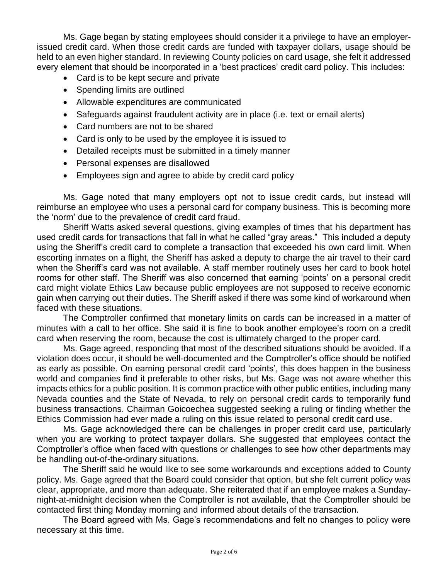Ms. Gage began by stating employees should consider it a privilege to have an employerissued credit card. When those credit cards are funded with taxpayer dollars, usage should be held to an even higher standard. In reviewing County policies on card usage, she felt it addressed every element that should be incorporated in a 'best practices' credit card policy. This includes:

- Card is to be kept secure and private
- Spending limits are outlined
- Allowable expenditures are communicated
- Safeguards against fraudulent activity are in place (i.e. text or email alerts)
- Card numbers are not to be shared
- Card is only to be used by the employee it is issued to
- Detailed receipts must be submitted in a timely manner
- Personal expenses are disallowed
- Employees sign and agree to abide by credit card policy

Ms. Gage noted that many employers opt not to issue credit cards, but instead will reimburse an employee who uses a personal card for company business. This is becoming more the 'norm' due to the prevalence of credit card fraud.

Sheriff Watts asked several questions, giving examples of times that his department has used credit cards for transactions that fall in what he called "gray areas." This included a deputy using the Sheriff's credit card to complete a transaction that exceeded his own card limit. When escorting inmates on a flight, the Sheriff has asked a deputy to charge the air travel to their card when the Sheriff's card was not available. A staff member routinely uses her card to book hotel rooms for other staff. The Sheriff was also concerned that earning 'points' on a personal credit card might violate Ethics Law because public employees are not supposed to receive economic gain when carrying out their duties. The Sheriff asked if there was some kind of workaround when faced with these situations.

The Comptroller confirmed that monetary limits on cards can be increased in a matter of minutes with a call to her office. She said it is fine to book another employee's room on a credit card when reserving the room, because the cost is ultimately charged to the proper card.

Ms. Gage agreed, responding that most of the described situations should be avoided. If a violation does occur, it should be well-documented and the Comptroller's office should be notified as early as possible. On earning personal credit card 'points', this does happen in the business world and companies find it preferable to other risks, but Ms. Gage was not aware whether this impacts ethics for a public position. It is common practice with other public entities, including many Nevada counties and the State of Nevada, to rely on personal credit cards to temporarily fund business transactions. Chairman Goicoechea suggested seeking a ruling or finding whether the Ethics Commission had ever made a ruling on this issue related to personal credit card use.

Ms. Gage acknowledged there can be challenges in proper credit card use, particularly when you are working to protect taxpayer dollars. She suggested that employees contact the Comptroller's office when faced with questions or challenges to see how other departments may be handling out-of-the-ordinary situations.

The Sheriff said he would like to see some workarounds and exceptions added to County policy. Ms. Gage agreed that the Board could consider that option, but she felt current policy was clear, appropriate, and more than adequate. She reiterated that if an employee makes a Sundaynight-at-midnight decision when the Comptroller is not available, that the Comptroller should be contacted first thing Monday morning and informed about details of the transaction.

The Board agreed with Ms. Gage's recommendations and felt no changes to policy were necessary at this time.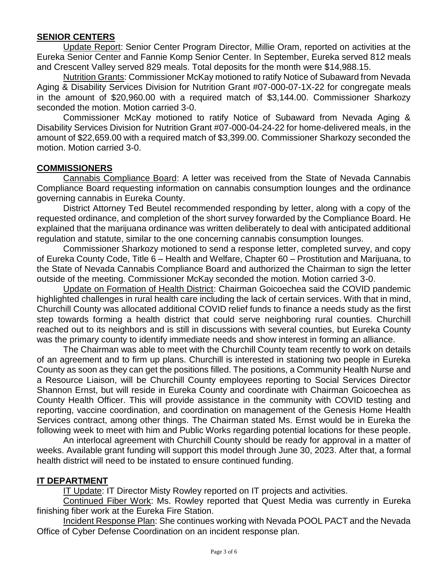### **SENIOR CENTERS**

Update Report: Senior Center Program Director, Millie Oram, reported on activities at the Eureka Senior Center and Fannie Komp Senior Center. In September, Eureka served 812 meals and Crescent Valley served 829 meals. Total deposits for the month were \$14,988.15.

Nutrition Grants: Commissioner McKay motioned to ratify Notice of Subaward from Nevada Aging & Disability Services Division for Nutrition Grant #07-000-07-1X-22 for congregate meals in the amount of \$20,960.00 with a required match of \$3,144.00. Commissioner Sharkozy seconded the motion. Motion carried 3-0.

Commissioner McKay motioned to ratify Notice of Subaward from Nevada Aging & Disability Services Division for Nutrition Grant #07-000-04-24-22 for home-delivered meals, in the amount of \$22,659.00 with a required match of \$3,399.00. Commissioner Sharkozy seconded the motion. Motion carried 3-0.

### **COMMISSIONERS**

Cannabis Compliance Board: A letter was received from the State of Nevada Cannabis Compliance Board requesting information on cannabis consumption lounges and the ordinance governing cannabis in Eureka County.

District Attorney Ted Beutel recommended responding by letter, along with a copy of the requested ordinance, and completion of the short survey forwarded by the Compliance Board. He explained that the marijuana ordinance was written deliberately to deal with anticipated additional regulation and statute, similar to the one concerning cannabis consumption lounges.

Commissioner Sharkozy motioned to send a response letter, completed survey, and copy of Eureka County Code, Title 6 – Health and Welfare, Chapter 60 – Prostitution and Marijuana, to the State of Nevada Cannabis Compliance Board and authorized the Chairman to sign the letter outside of the meeting. Commissioner McKay seconded the motion. Motion carried 3-0.

Update on Formation of Health District: Chairman Goicoechea said the COVID pandemic highlighted challenges in rural health care including the lack of certain services. With that in mind, Churchill County was allocated additional COVID relief funds to finance a needs study as the first step towards forming a health district that could serve neighboring rural counties. Churchill reached out to its neighbors and is still in discussions with several counties, but Eureka County was the primary county to identify immediate needs and show interest in forming an alliance.

The Chairman was able to meet with the Churchill County team recently to work on details of an agreement and to firm up plans. Churchill is interested in stationing two people in Eureka County as soon as they can get the positions filled. The positions, a Community Health Nurse and a Resource Liaison, will be Churchill County employees reporting to Social Services Director Shannon Ernst, but will reside in Eureka County and coordinate with Chairman Goicoechea as County Health Officer. This will provide assistance in the community with COVID testing and reporting, vaccine coordination, and coordination on management of the Genesis Home Health Services contract, among other things. The Chairman stated Ms. Ernst would be in Eureka the following week to meet with him and Public Works regarding potential locations for these people.

An interlocal agreement with Churchill County should be ready for approval in a matter of weeks. Available grant funding will support this model through June 30, 2023. After that, a formal health district will need to be instated to ensure continued funding.

## **IT DEPARTMENT**

IT Update: IT Director Misty Rowley reported on IT projects and activities.

Continued Fiber Work: Ms. Rowley reported that Quest Media was currently in Eureka finishing fiber work at the Eureka Fire Station.

Incident Response Plan: She continues working with Nevada POOL PACT and the Nevada Office of Cyber Defense Coordination on an incident response plan.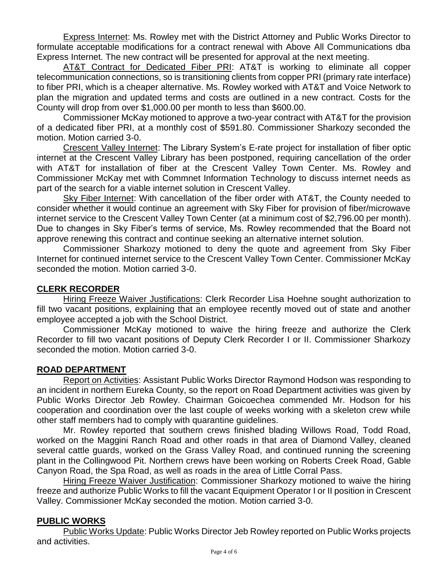Express Internet: Ms. Rowley met with the District Attorney and Public Works Director to formulate acceptable modifications for a contract renewal with Above All Communications dba Express Internet. The new contract will be presented for approval at the next meeting.

AT&T Contract for Dedicated Fiber PRI: AT&T is working to eliminate all copper telecommunication connections, so is transitioning clients from copper PRI (primary rate interface) to fiber PRI, which is a cheaper alternative. Ms. Rowley worked with AT&T and Voice Network to plan the migration and updated terms and costs are outlined in a new contract. Costs for the County will drop from over \$1,000.00 per month to less than \$600.00.

Commissioner McKay motioned to approve a two-year contract with AT&T for the provision of a dedicated fiber PRI, at a monthly cost of \$591.80. Commissioner Sharkozy seconded the motion. Motion carried 3-0.

Crescent Valley Internet: The Library System's E-rate project for installation of fiber optic internet at the Crescent Valley Library has been postponed, requiring cancellation of the order with AT&T for installation of fiber at the Crescent Valley Town Center. Ms. Rowley and Commissioner McKay met with Commnet Information Technology to discuss internet needs as part of the search for a viable internet solution in Crescent Valley.

Sky Fiber Internet: With cancellation of the fiber order with AT&T, the County needed to consider whether it would continue an agreement with Sky Fiber for provision of fiber/microwave internet service to the Crescent Valley Town Center (at a minimum cost of \$2,796.00 per month). Due to changes in Sky Fiber's terms of service, Ms. Rowley recommended that the Board not approve renewing this contract and continue seeking an alternative internet solution.

Commissioner Sharkozy motioned to deny the quote and agreement from Sky Fiber Internet for continued internet service to the Crescent Valley Town Center. Commissioner McKay seconded the motion. Motion carried 3-0.

# **CLERK RECORDER**

Hiring Freeze Waiver Justifications: Clerk Recorder Lisa Hoehne sought authorization to fill two vacant positions, explaining that an employee recently moved out of state and another employee accepted a job with the School District.

Commissioner McKay motioned to waive the hiring freeze and authorize the Clerk Recorder to fill two vacant positions of Deputy Clerk Recorder I or II. Commissioner Sharkozy seconded the motion. Motion carried 3-0.

## **ROAD DEPARTMENT**

Report on Activities: Assistant Public Works Director Raymond Hodson was responding to an incident in northern Eureka County, so the report on Road Department activities was given by Public Works Director Jeb Rowley. Chairman Goicoechea commended Mr. Hodson for his cooperation and coordination over the last couple of weeks working with a skeleton crew while other staff members had to comply with quarantine guidelines.

Mr. Rowley reported that southern crews finished blading Willows Road, Todd Road, worked on the Maggini Ranch Road and other roads in that area of Diamond Valley, cleaned several cattle guards, worked on the Grass Valley Road, and continued running the screening plant in the Collingwood Pit. Northern crews have been working on Roberts Creek Road, Gable Canyon Road, the Spa Road, as well as roads in the area of Little Corral Pass.

Hiring Freeze Waiver Justification: Commissioner Sharkozy motioned to waive the hiring freeze and authorize Public Works to fill the vacant Equipment Operator I or II position in Crescent Valley. Commissioner McKay seconded the motion. Motion carried 3-0.

## **PUBLIC WORKS**

Public Works Update: Public Works Director Jeb Rowley reported on Public Works projects and activities.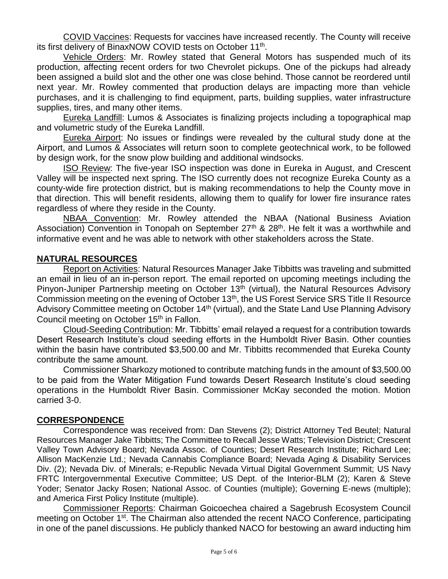COVID Vaccines: Requests for vaccines have increased recently. The County will receive its first delivery of BinaxNOW COVID tests on October 11<sup>th</sup>.

Vehicle Orders: Mr. Rowley stated that General Motors has suspended much of its production, affecting recent orders for two Chevrolet pickups. One of the pickups had already been assigned a build slot and the other one was close behind. Those cannot be reordered until next year. Mr. Rowley commented that production delays are impacting more than vehicle purchases, and it is challenging to find equipment, parts, building supplies, water infrastructure supplies, tires, and many other items.

Eureka Landfill: Lumos & Associates is finalizing projects including a topographical map and volumetric study of the Eureka Landfill.

Eureka Airport: No issues or findings were revealed by the cultural study done at the Airport, and Lumos & Associates will return soon to complete geotechnical work, to be followed by design work, for the snow plow building and additional windsocks.

ISO Review: The five-year ISO inspection was done in Eureka in August, and Crescent Valley will be inspected next spring. The ISO currently does not recognize Eureka County as a county-wide fire protection district, but is making recommendations to help the County move in that direction. This will benefit residents, allowing them to qualify for lower fire insurance rates regardless of where they reside in the County.

NBAA Convention: Mr. Rowley attended the NBAA (National Business Aviation Association) Convention in Tonopah on September 27<sup>th</sup> & 28<sup>th</sup>. He felt it was a worthwhile and informative event and he was able to network with other stakeholders across the State.

## **NATURAL RESOURCES**

Report on Activities: Natural Resources Manager Jake Tibbitts was traveling and submitted an email in lieu of an in-person report. The email reported on upcoming meetings including the Pinyon-Juniper Partnership meeting on October 13<sup>th</sup> (virtual), the Natural Resources Advisory Commission meeting on the evening of October 13th, the US Forest Service SRS Title II Resource Advisory Committee meeting on October 14<sup>th</sup> (virtual), and the State Land Use Planning Advisory Council meeting on October 15<sup>th</sup> in Fallon.

Cloud-Seeding Contribution: Mr. Tibbitts' email relayed a request for a contribution towards Desert Research Institute's cloud seeding efforts in the Humboldt River Basin. Other counties within the basin have contributed \$3,500.00 and Mr. Tibbitts recommended that Eureka County contribute the same amount.

Commissioner Sharkozy motioned to contribute matching funds in the amount of \$3,500.00 to be paid from the Water Mitigation Fund towards Desert Research Institute's cloud seeding operations in the Humboldt River Basin. Commissioner McKay seconded the motion. Motion carried 3-0.

#### **CORRESPONDENCE**

Correspondence was received from: Dan Stevens (2); District Attorney Ted Beutel; Natural Resources Manager Jake Tibbitts; The Committee to Recall Jesse Watts; Television District; Crescent Valley Town Advisory Board; Nevada Assoc. of Counties; Desert Research Institute; Richard Lee; Allison MacKenzie Ltd.; Nevada Cannabis Compliance Board; Nevada Aging & Disability Services Div. (2); Nevada Div. of Minerals; e-Republic Nevada Virtual Digital Government Summit; US Navy FRTC Intergovernmental Executive Committee; US Dept. of the Interior-BLM (2); Karen & Steve Yoder; Senator Jacky Rosen; National Assoc. of Counties (multiple); Governing E-news (multiple); and America First Policy Institute (multiple).

Commissioner Reports: Chairman Goicoechea chaired a Sagebrush Ecosystem Council meeting on October 1<sup>st</sup>. The Chairman also attended the recent NACO Conference, participating in one of the panel discussions. He publicly thanked NACO for bestowing an award inducting him